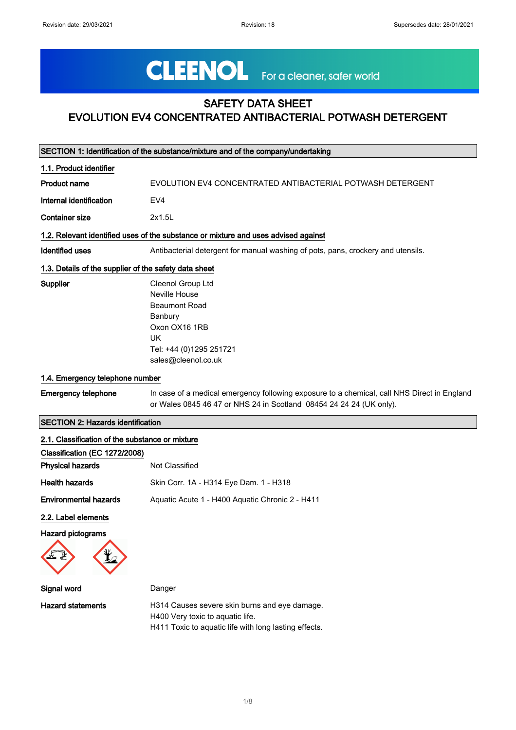# CLEENOL For a cleaner, safer world

## SAFETY DATA SHEET EVOLUTION EV4 CONCENTRATED ANTIBACTERIAL POTWASH DETERGENT

|                                                       | SECTION 1: Identification of the substance/mixture and of the company/undertaking                                                                                  |
|-------------------------------------------------------|--------------------------------------------------------------------------------------------------------------------------------------------------------------------|
| 1.1. Product identifier                               |                                                                                                                                                                    |
| <b>Product name</b>                                   | EVOLUTION EV4 CONCENTRATED ANTIBACTERIAL POTWASH DETERGENT                                                                                                         |
| Internal identification                               | EV <sub>4</sub>                                                                                                                                                    |
| <b>Container size</b>                                 | 2x1.5L                                                                                                                                                             |
|                                                       | 1.2. Relevant identified uses of the substance or mixture and uses advised against                                                                                 |
| <b>Identified uses</b>                                | Antibacterial detergent for manual washing of pots, pans, crockery and utensils.                                                                                   |
| 1.3. Details of the supplier of the safety data sheet |                                                                                                                                                                    |
| Supplier                                              | Cleenol Group Ltd                                                                                                                                                  |
|                                                       | Neville House                                                                                                                                                      |
|                                                       | <b>Beaumont Road</b>                                                                                                                                               |
|                                                       | Banbury                                                                                                                                                            |
|                                                       | Oxon OX16 1RB                                                                                                                                                      |
|                                                       | UK                                                                                                                                                                 |
|                                                       | Tel: +44 (0)1295 251721                                                                                                                                            |
|                                                       | sales@cleenol.co.uk                                                                                                                                                |
| 1.4. Emergency telephone number                       |                                                                                                                                                                    |
| <b>Emergency telephone</b>                            | In case of a medical emergency following exposure to a chemical, call NHS Direct in England<br>or Wales 0845 46 47 or NHS 24 in Scotland 08454 24 24 24 (UK only). |
| <b>SECTION 2: Hazards identification</b>              |                                                                                                                                                                    |
| 2.1. Classification of the substance or mixture       |                                                                                                                                                                    |
| Classification (EC 1272/2008)                         |                                                                                                                                                                    |
| <b>Physical hazards</b>                               | Not Classified                                                                                                                                                     |
| <b>Health hazards</b>                                 | Skin Corr. 1A - H314 Eye Dam. 1 - H318                                                                                                                             |
| <b>Environmental hazards</b>                          | Aquatic Acute 1 - H400 Aquatic Chronic 2 - H411                                                                                                                    |
| .                                                     |                                                                                                                                                                    |

2.2. Label elements

Hazard pictograms



| Signal word              | Danger                                                                                                                                     |
|--------------------------|--------------------------------------------------------------------------------------------------------------------------------------------|
| <b>Hazard statements</b> | H314 Causes severe skin burns and eve damage.<br>H400 Very toxic to aquatic life.<br>H411 Toxic to aguatic life with long lasting effects. |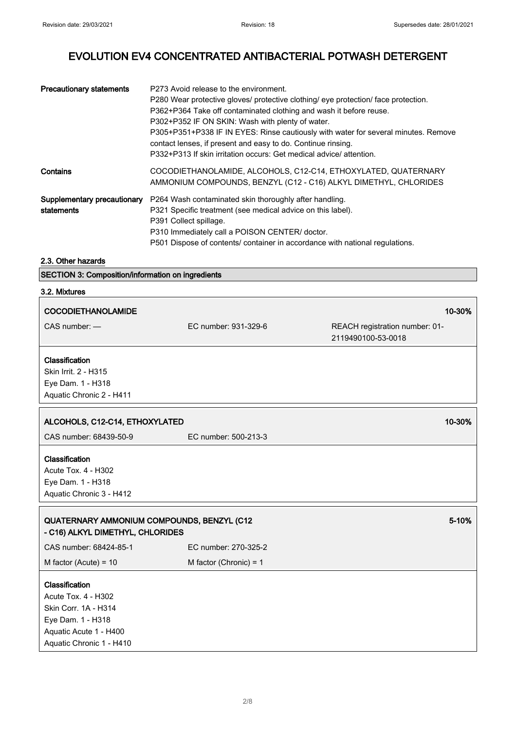| <b>Precautionary statements</b>           | P273 Avoid release to the environment.<br>P280 Wear protective gloves/ protective clothing/ eye protection/ face protection.<br>P362+P364 Take off contaminated clothing and wash it before reuse.<br>P302+P352 IF ON SKIN: Wash with plenty of water.<br>P305+P351+P338 IF IN EYES: Rinse cautiously with water for several minutes. Remove<br>contact lenses, if present and easy to do. Continue rinsing.<br>P332+P313 If skin irritation occurs: Get medical advice/ attention. |
|-------------------------------------------|-------------------------------------------------------------------------------------------------------------------------------------------------------------------------------------------------------------------------------------------------------------------------------------------------------------------------------------------------------------------------------------------------------------------------------------------------------------------------------------|
| Contains                                  | COCODIETHANOLAMIDE, ALCOHOLS, C12-C14, ETHOXYLATED, QUATERNARY<br>AMMONIUM COMPOUNDS, BENZYL (C12 - C16) ALKYL DIMETHYL, CHLORIDES                                                                                                                                                                                                                                                                                                                                                  |
| Supplementary precautionary<br>statements | P264 Wash contaminated skin thoroughly after handling.<br>P321 Specific treatment (see medical advice on this label).<br>P391 Collect spillage.<br>P310 Immediately call a POISON CENTER/ doctor.<br>P501 Dispose of contents/ container in accordance with national regulations.                                                                                                                                                                                                   |

2.3. Other hazards

SECTION 3: Composition/information on ingredients

## 3.2. Mixtures

| <b>COCODIETHANOLAMIDE</b>                                                                                                                       |                          | 10-30%                                               |
|-------------------------------------------------------------------------------------------------------------------------------------------------|--------------------------|------------------------------------------------------|
| CAS number: -                                                                                                                                   | EC number: 931-329-6     | REACH registration number: 01-<br>2119490100-53-0018 |
| Classification<br>Skin Irrit. 2 - H315<br>Eye Dam. 1 - H318<br>Aquatic Chronic 2 - H411                                                         |                          |                                                      |
| ALCOHOLS, C12-C14, ETHOXYLATED                                                                                                                  |                          | 10-30%                                               |
| CAS number: 68439-50-9                                                                                                                          | EC number: 500-213-3     |                                                      |
| Classification<br><b>Acute Tox. 4 - H302</b><br>Eye Dam. 1 - H318<br>Aquatic Chronic 3 - H412                                                   |                          |                                                      |
| QUATERNARY AMMONIUM COMPOUNDS, BENZYL (C12<br>- C16) ALKYL DIMETHYL, CHLORIDES                                                                  |                          | 5-10%                                                |
| CAS number: 68424-85-1                                                                                                                          | EC number: 270-325-2     |                                                      |
| M factor (Acute) = $10$                                                                                                                         | M factor (Chronic) = $1$ |                                                      |
| Classification<br><b>Acute Tox. 4 - H302</b><br>Skin Corr. 1A - H314<br>Eye Dam. 1 - H318<br>Aquatic Acute 1 - H400<br>Aquatic Chronic 1 - H410 |                          |                                                      |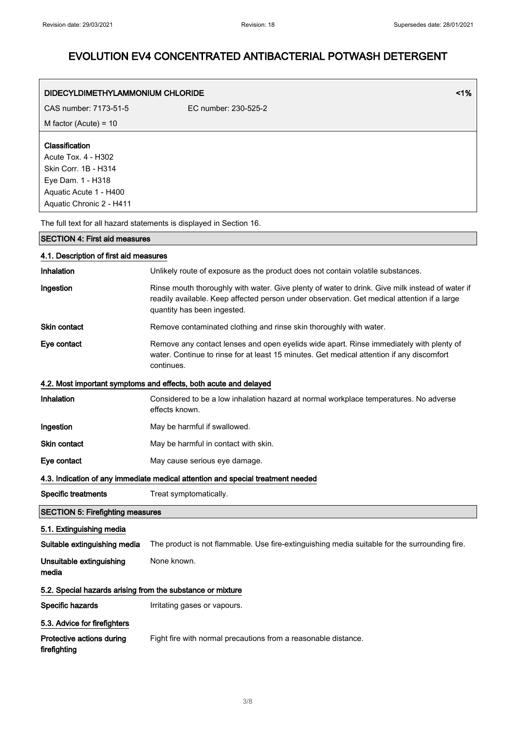| DIDECYLDIMETHYLAMMONIUM CHLORIDE                           | 1%                                                                                                                                                                                                                            |  |
|------------------------------------------------------------|-------------------------------------------------------------------------------------------------------------------------------------------------------------------------------------------------------------------------------|--|
| CAS number: 7173-51-5                                      | EC number: 230-525-2                                                                                                                                                                                                          |  |
| M factor (Acute) = $10$                                    |                                                                                                                                                                                                                               |  |
| Classification                                             |                                                                                                                                                                                                                               |  |
| Acute Tox. 4 - H302                                        |                                                                                                                                                                                                                               |  |
| Skin Corr. 1B - H314                                       |                                                                                                                                                                                                                               |  |
| Eye Dam. 1 - H318<br>Aquatic Acute 1 - H400                |                                                                                                                                                                                                                               |  |
| Aquatic Chronic 2 - H411                                   |                                                                                                                                                                                                                               |  |
|                                                            | The full text for all hazard statements is displayed in Section 16.                                                                                                                                                           |  |
| <b>SECTION 4: First aid measures</b>                       |                                                                                                                                                                                                                               |  |
| 4.1. Description of first aid measures                     |                                                                                                                                                                                                                               |  |
| Inhalation                                                 | Unlikely route of exposure as the product does not contain volatile substances.                                                                                                                                               |  |
| Ingestion                                                  | Rinse mouth thoroughly with water. Give plenty of water to drink. Give milk instead of water if<br>readily available. Keep affected person under observation. Get medical attention if a large<br>quantity has been ingested. |  |
| <b>Skin contact</b>                                        | Remove contaminated clothing and rinse skin thoroughly with water.                                                                                                                                                            |  |
| Eye contact                                                | Remove any contact lenses and open eyelids wide apart. Rinse immediately with plenty of<br>water. Continue to rinse for at least 15 minutes. Get medical attention if any discomfort<br>continues.                            |  |
|                                                            | 4.2. Most important symptoms and effects, both acute and delayed                                                                                                                                                              |  |
| Inhalation                                                 | Considered to be a low inhalation hazard at normal workplace temperatures. No adverse<br>effects known.                                                                                                                       |  |
| Ingestion                                                  | May be harmful if swallowed.                                                                                                                                                                                                  |  |
| Skin contact                                               | May be harmful in contact with skin.                                                                                                                                                                                          |  |
| Eye contact                                                | May cause serious eye damage.                                                                                                                                                                                                 |  |
|                                                            | 4.3. Indication of any immediate medical attention and special treatment needed                                                                                                                                               |  |
| <b>Specific treatments</b>                                 | Treat symptomatically.                                                                                                                                                                                                        |  |
| <b>SECTION 5: Firefighting measures</b>                    |                                                                                                                                                                                                                               |  |
| 5.1. Extinguishing media                                   |                                                                                                                                                                                                                               |  |
| Suitable extinguishing media                               | The product is not flammable. Use fire-extinguishing media suitable for the surrounding fire.                                                                                                                                 |  |
| Unsuitable extinguishing<br>media                          | None known.                                                                                                                                                                                                                   |  |
| 5.2. Special hazards arising from the substance or mixture |                                                                                                                                                                                                                               |  |
| Specific hazards                                           | Irritating gases or vapours.                                                                                                                                                                                                  |  |
| 5.3. Advice for firefighters                               |                                                                                                                                                                                                                               |  |
| Protective actions during<br>firefighting                  | Fight fire with normal precautions from a reasonable distance.                                                                                                                                                                |  |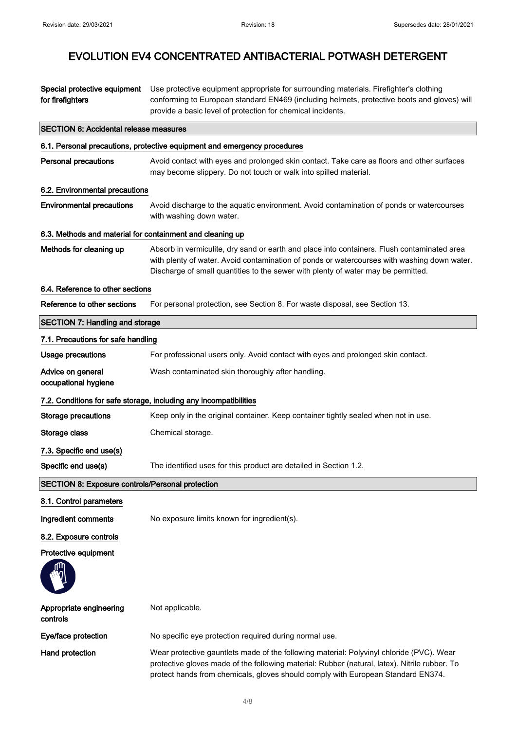| Special protective equipment<br>for firefighters          | Use protective equipment appropriate for surrounding materials. Firefighter's clothing<br>conforming to European standard EN469 (including helmets, protective boots and gloves) will<br>provide a basic level of protection for chemical incidents.                            |
|-----------------------------------------------------------|---------------------------------------------------------------------------------------------------------------------------------------------------------------------------------------------------------------------------------------------------------------------------------|
| <b>SECTION 6: Accidental release measures</b>             |                                                                                                                                                                                                                                                                                 |
|                                                           | 6.1. Personal precautions, protective equipment and emergency procedures                                                                                                                                                                                                        |
| <b>Personal precautions</b>                               | Avoid contact with eyes and prolonged skin contact. Take care as floors and other surfaces<br>may become slippery. Do not touch or walk into spilled material.                                                                                                                  |
| 6.2. Environmental precautions                            |                                                                                                                                                                                                                                                                                 |
| <b>Environmental precautions</b>                          | Avoid discharge to the aquatic environment. Avoid contamination of ponds or watercourses<br>with washing down water.                                                                                                                                                            |
| 6.3. Methods and material for containment and cleaning up |                                                                                                                                                                                                                                                                                 |
| Methods for cleaning up                                   | Absorb in vermiculite, dry sand or earth and place into containers. Flush contaminated area<br>with plenty of water. Avoid contamination of ponds or watercourses with washing down water.<br>Discharge of small quantities to the sewer with plenty of water may be permitted. |
| 6.4. Reference to other sections                          |                                                                                                                                                                                                                                                                                 |
| Reference to other sections                               | For personal protection, see Section 8. For waste disposal, see Section 13.                                                                                                                                                                                                     |
| <b>SECTION 7: Handling and storage</b>                    |                                                                                                                                                                                                                                                                                 |
| 7.1. Precautions for safe handling                        |                                                                                                                                                                                                                                                                                 |
| <b>Usage precautions</b>                                  | For professional users only. Avoid contact with eyes and prolonged skin contact.                                                                                                                                                                                                |
| Advice on general<br>occupational hygiene                 | Wash contaminated skin thoroughly after handling.                                                                                                                                                                                                                               |
|                                                           | 7.2. Conditions for safe storage, including any incompatibilities                                                                                                                                                                                                               |
| <b>Storage precautions</b>                                | Keep only in the original container. Keep container tightly sealed when not in use.                                                                                                                                                                                             |
| Storage class                                             | Chemical storage.                                                                                                                                                                                                                                                               |
| 7.3. Specific end use(s)                                  |                                                                                                                                                                                                                                                                                 |
| Specific end use(s)                                       | The identified uses for this product are detailed in Section 1.2                                                                                                                                                                                                                |
| <b>SECTION 8: Exposure controls/Personal protection</b>   |                                                                                                                                                                                                                                                                                 |
| 8.1. Control parameters                                   |                                                                                                                                                                                                                                                                                 |
| Ingredient comments                                       | No exposure limits known for ingredient(s).                                                                                                                                                                                                                                     |
| 8.2. Exposure controls                                    |                                                                                                                                                                                                                                                                                 |
| Protective equipment                                      |                                                                                                                                                                                                                                                                                 |
|                                                           |                                                                                                                                                                                                                                                                                 |
| Appropriate engineering<br>controls                       | Not applicable.                                                                                                                                                                                                                                                                 |
| Eye/face protection                                       | No specific eye protection required during normal use.                                                                                                                                                                                                                          |
| <b>Hand protection</b>                                    | Wear protective gauntlets made of the following material: Polyvinyl chloride (PVC). Wear<br>protective gloves made of the following material: Rubber (natural, latex). Nitrile rubber. To<br>protect hands from chemicals, gloves should comply with European Standard EN374.   |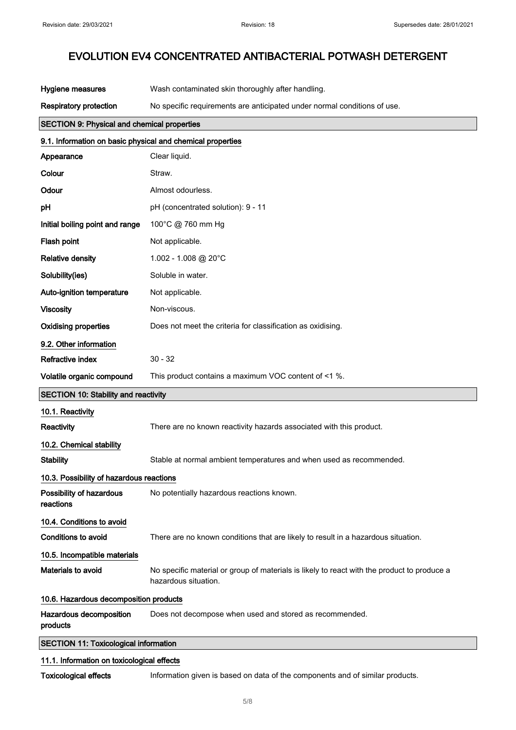| Hygiene measures                                           | Wash contaminated skin thoroughly after handling.                                                                   |
|------------------------------------------------------------|---------------------------------------------------------------------------------------------------------------------|
| <b>Respiratory protection</b>                              | No specific requirements are anticipated under normal conditions of use.                                            |
| <b>SECTION 9: Physical and chemical properties</b>         |                                                                                                                     |
| 9.1. Information on basic physical and chemical properties |                                                                                                                     |
| Appearance                                                 | Clear liquid.                                                                                                       |
| Colour                                                     | Straw.                                                                                                              |
| Odour                                                      | Almost odourless.                                                                                                   |
| рH                                                         | pH (concentrated solution): 9 - 11                                                                                  |
| Initial boiling point and range                            | 100°C @ 760 mm Hg                                                                                                   |
| Flash point                                                | Not applicable.                                                                                                     |
| <b>Relative density</b>                                    | 1.002 - 1.008 @ 20°C                                                                                                |
| Solubility(ies)                                            | Soluble in water.                                                                                                   |
| Auto-ignition temperature                                  | Not applicable.                                                                                                     |
| <b>Viscosity</b>                                           | Non-viscous.                                                                                                        |
| <b>Oxidising properties</b>                                | Does not meet the criteria for classification as oxidising.                                                         |
| 9.2. Other information                                     |                                                                                                                     |
| Refractive index                                           | $30 - 32$                                                                                                           |
| Volatile organic compound                                  | This product contains a maximum VOC content of <1 %.                                                                |
| <b>SECTION 10: Stability and reactivity</b>                |                                                                                                                     |
| 10.1. Reactivity                                           |                                                                                                                     |
| Reactivity                                                 | There are no known reactivity hazards associated with this product.                                                 |
| 10.2. Chemical stability                                   |                                                                                                                     |
| <b>Stability</b>                                           | Stable at normal ambient temperatures and when used as recommended.                                                 |
| 10.3. Possibility of hazardous reactions                   |                                                                                                                     |
| Possibility of hazardous<br>reactions                      | No potentially hazardous reactions known.                                                                           |
| 10.4. Conditions to avoid                                  |                                                                                                                     |
| <b>Conditions to avoid</b>                                 | There are no known conditions that are likely to result in a hazardous situation.                                   |
| 10.5. Incompatible materials                               |                                                                                                                     |
| Materials to avoid                                         | No specific material or group of materials is likely to react with the product to produce a<br>hazardous situation. |
| 10.6. Hazardous decomposition products                     |                                                                                                                     |
| Hazardous decomposition<br>products                        | Does not decompose when used and stored as recommended.                                                             |
| <b>SECTION 11: Toxicological information</b>               |                                                                                                                     |
| 11.1. Information on toxicological effects                 |                                                                                                                     |

Toxicological effects Information given is based on data of the components and of similar products.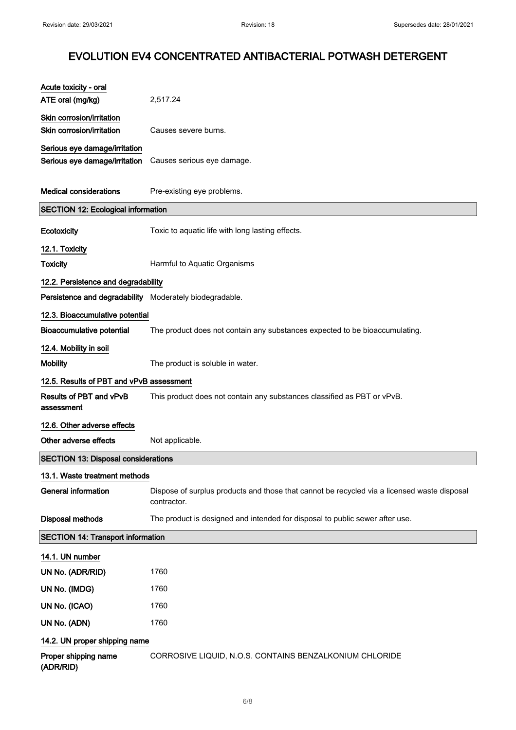| Acute toxicity - oral                                                      |                                                                                                            |
|----------------------------------------------------------------------------|------------------------------------------------------------------------------------------------------------|
| ATE oral (mg/kg)                                                           | 2,517.24                                                                                                   |
| Skin corrosion/irritation                                                  |                                                                                                            |
| Skin corrosion/irritation                                                  | Causes severe burns.                                                                                       |
| Serious eye damage/irritation                                              |                                                                                                            |
| Serious eye damage/irritation                                              | Causes serious eye damage.                                                                                 |
| <b>Medical considerations</b><br><b>SECTION 12: Ecological information</b> | Pre-existing eye problems.                                                                                 |
|                                                                            |                                                                                                            |
| Ecotoxicity                                                                | Toxic to aquatic life with long lasting effects.                                                           |
| 12.1. Toxicity                                                             |                                                                                                            |
| <b>Toxicity</b>                                                            | Harmful to Aquatic Organisms                                                                               |
| 12.2. Persistence and degradability                                        |                                                                                                            |
| Persistence and degradability Moderately biodegradable.                    |                                                                                                            |
| 12.3. Bioaccumulative potential                                            |                                                                                                            |
| <b>Bioaccumulative potential</b>                                           | The product does not contain any substances expected to be bioaccumulating.                                |
| 12.4. Mobility in soil                                                     |                                                                                                            |
| <b>Mobility</b>                                                            | The product is soluble in water.                                                                           |
| 12.5. Results of PBT and vPvB assessment                                   |                                                                                                            |
| <b>Results of PBT and vPvB</b><br>assessment                               | This product does not contain any substances classified as PBT or vPvB.                                    |
| 12.6. Other adverse effects                                                |                                                                                                            |
| Other adverse effects                                                      | Not applicable.                                                                                            |
| <b>SECTION 13: Disposal considerations</b>                                 |                                                                                                            |
| 13.1. Waste treatment methods                                              |                                                                                                            |
| <b>General information</b>                                                 | Dispose of surplus products and those that cannot be recycled via a licensed waste disposal<br>contractor. |
| Disposal methods                                                           | The product is designed and intended for disposal to public sewer after use.                               |
| <b>SECTION 14: Transport information</b>                                   |                                                                                                            |
| 14.1. UN number                                                            |                                                                                                            |
| UN No. (ADR/RID)                                                           | 1760                                                                                                       |
| UN No. (IMDG)                                                              | 1760                                                                                                       |
| UN No. (ICAO)                                                              | 1760                                                                                                       |
| UN No. (ADN)                                                               | 1760                                                                                                       |
| 14.2. UN proper shipping name                                              |                                                                                                            |
| Proper shipping name<br>(ADR/RID)                                          | CORROSIVE LIQUID, N.O.S. CONTAINS BENZALKONIUM CHLORIDE                                                    |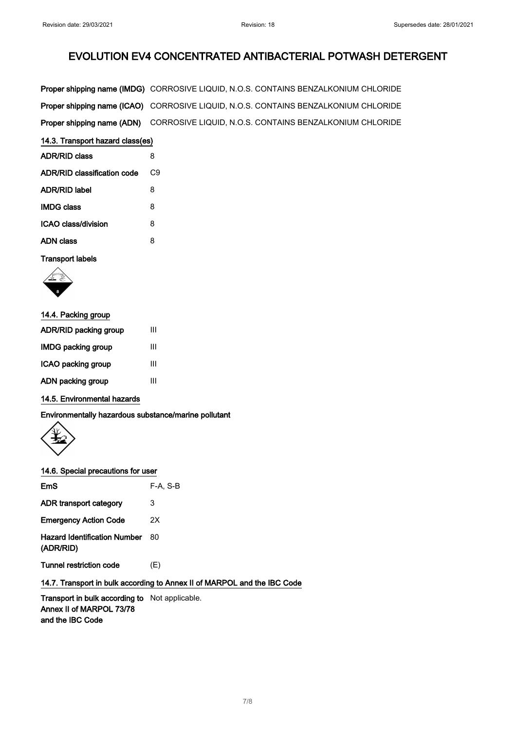| Proper shipping name (IMDG) CORROSIVE LIQUID, N.O.S. CONTAINS BENZALKONIUM CHLORIDE        |
|--------------------------------------------------------------------------------------------|
| <b>Proper shipping name (ICAO)</b> CORROSIVE LIQUID, N.O.S. CONTAINS BENZALKONIUM CHLORIDE |
| Proper shipping name (ADN) CORROSIVE LIQUID, N.O.S. CONTAINS BENZALKONIUM CHLORIDE         |

| 14.3. Transport hazard class(es) |  |  |
|----------------------------------|--|--|
|                                  |  |  |

| <b>ADR/RID class</b>        | 8  |
|-----------------------------|----|
| ADR/RID classification code | С9 |
| ADR/RID label               | 8  |
| <b>IMDG class</b>           | 8  |
| ICAO class/division         | 8  |
| ADN class                   | 8  |
|                             |    |

Transport labels



| 14.4. Packing group   |   |
|-----------------------|---|
| ADR/RID packing group | Ш |
| IMDG packing group    | Ш |
| ICAO packing group    | Ш |
| ADN packing group     | Ш |
|                       |   |

## 14.5. Environmental hazards

Environmentally hazardous substance/marine pollutant



#### 14.6. Special precautions for user

| EmS                                              | F-A. S-B |
|--------------------------------------------------|----------|
| ADR transport category                           | 3        |
| <b>Emergency Action Code</b>                     | 2Χ       |
| <b>Hazard Identification Number</b><br>(ADR/RID) | 80       |
| <b>Tunnel restriction code</b>                   | (E)      |

## 14.7. Transport in bulk according to Annex II of MARPOL and the IBC Code

Transport in bulk according to Not applicable. Annex II of MARPOL 73/78 and the IBC Code